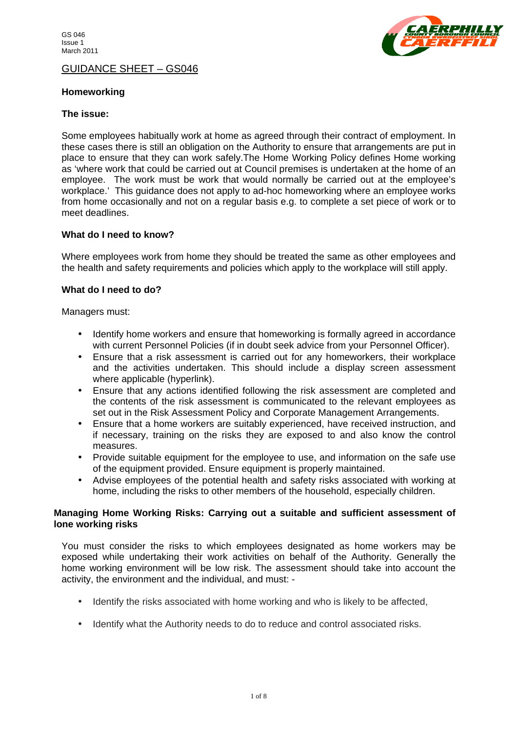

GUIDANCE SHEET – GS046

## **Homeworking**

### **The issue:**

Some employees habitually work at home as agreed through their contract of employment. In these cases there is still an obligation on the Authority to ensure that arrangements are put in place to ensure that they can work safely.The Home Working Policy defines Home working as 'where work that could be carried out at Council premises is undertaken at the home of an employee. The work must be work that would normally be carried out at the employee's workplace.' This guidance does not apply to ad-hoc homeworking where an employee works from home occasionally and not on a regular basis e.g. to complete a set piece of work or to meet deadlines.

#### **What do I need to know?**

Where employees work from home they should be treated the same as other employees and the health and safety requirements and policies which apply to the workplace will still apply.

## **What do I need to do?**

Managers must:

- Identify home workers and ensure that homeworking is formally agreed in accordance with current Personnel Policies (if in doubt seek advice from your Personnel Officer).
- Ensure that a risk assessment is carried out for any homeworkers, their workplace and the activities undertaken. This should include a display screen assessment where applicable (hyperlink).
- Ensure that any actions identified following the risk assessment are completed and the contents of the risk assessment is communicated to the relevant employees as set out in the Risk Assessment Policy and Corporate Management Arrangements.
- Ensure that a home workers are suitably experienced, have received instruction, and if necessary, training on the risks they are exposed to and also know the control measures.
- Provide suitable equipment for the employee to use, and information on the safe use of the equipment provided. Ensure equipment is properly maintained.
- Advise employees of the potential health and safety risks associated with working at home, including the risks to other members of the household, especially children.

## **Managing Home Working Risks: Carrying out a suitable and sufficient assessment of lone working risks**

You must consider the risks to which employees designated as home workers may be exposed while undertaking their work activities on behalf of the Authority. Generally the home working environment will be low risk. The assessment should take into account the activity, the environment and the individual, and must: -

- Identify the risks associated with home working and who is likely to be affected,
- Identify what the Authority needs to do to reduce and control associated risks.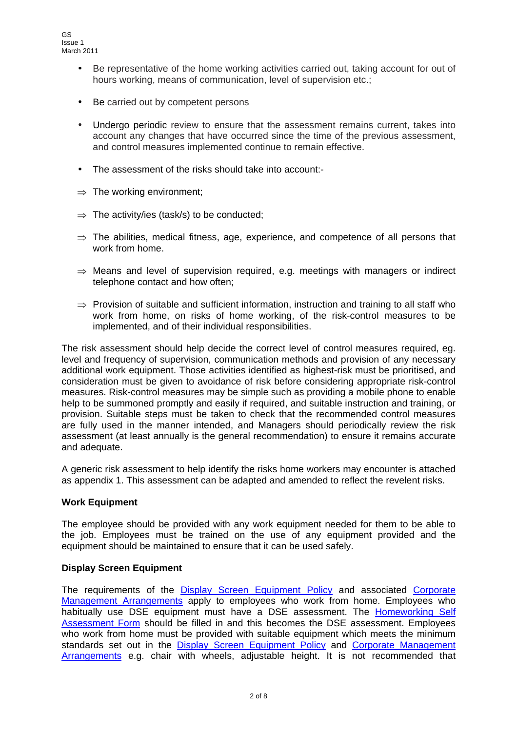- Be representative of the home working activities carried out, taking account for out of hours working, means of communication, level of supervision etc.;
- Be carried out by competent persons
- Undergo periodic review to ensure that the assessment remains current, takes into account any changes that have occurred since the time of the previous assessment, and control measures implemented continue to remain effective.
- The assessment of the risks should take into account:-
- $\Rightarrow$  The working environment;
- $\Rightarrow$  The activity/ies (task/s) to be conducted;
- $\Rightarrow$  The abilities, medical fitness, age, experience, and competence of all persons that work from home.
- $\Rightarrow$  Means and level of supervision required, e.g. meetings with managers or indirect telephone contact and how often;
- $\Rightarrow$  Provision of suitable and sufficient information, instruction and training to all staff who work from home, on risks of home working, of the risk-control measures to be implemented, and of their individual responsibilities.

The risk assessment should help decide the correct level of control measures required, eg. level and frequency of supervision, communication methods and provision of any necessary additional work equipment. Those activities identified as highest-risk must be prioritised, and consideration must be given to avoidance of risk before considering appropriate risk-control measures. Risk-control measures may be simple such as providing a mobile phone to enable help to be summoned promptly and easily if required, and suitable instruction and training, or provision. Suitable steps must be taken to check that the recommended control measures are fully used in the manner intended, and Managers should periodically review the risk assessment (at least annually is the general recommendation) to ensure it remains accurate and adequate.

A generic risk assessment to help identify the risks home workers may encounter is attached as appendix 1. This assessment can be adapted and amended to reflect the revelent risks.

# **Work Equipment**

The employee should be provided with any work equipment needed for them to be able to the job. Employees must be trained on the use of any equipment provided and the equipment should be maintained to ensure that it can be used safely.

# **Display Screen Equipment**

The requirements of the [Display Screen Equipment Policy](http://stellcon/stellent/groups/public/@perspub/documents/pprr/029996.pdf) and associated Corporate [Management Arrangements](http://stellcon/stellent/groups/public/@perspub/documents/pprr/029997.pdf) apply to employees who work from home. Employees who habitually use DSE equipment must have a DSE assessment. The **Homeworking Self** [Assessment Form](http://stellcon/stellent/groups/public/@perspub/documents/forms/040548.pdf) should be filled in and this becomes the DSE assessment. Employees who work from home must be provided with suitable equipment which meets the minimum standards set out in the [Display Screen Equipment Polic](http://stellcon/stellent/groups/public/@perspub/documents/pprr/029996.pdf)y and Corporate Management [Arrangements](http://stellcon/stellent/groups/public/@perspub/documents/pprr/029997.pdf) e.g. chair with wheels, adjustable height. It is not recommended that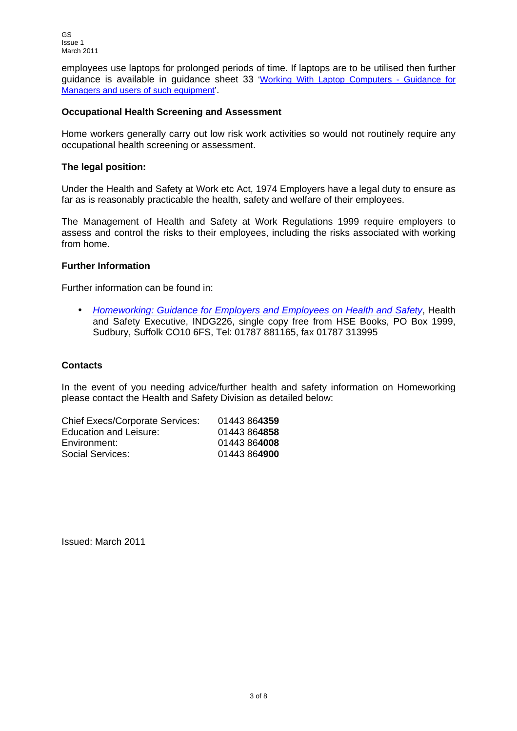employees use laptops for prolonged periods of time. If laptops are to be utilised then further guidance is available in guidance sheet 33 ['Working With Laptop Computers -](http://stellcon/stellent/groups/public/@perspub/documents/pprr/029912.pdf) Guidance for [Managers and users of such equipment'](http://stellcon/stellent/groups/public/@perspub/documents/pprr/029912.pdf).

## **Occupational Health Screening and Assessment**

Home workers generally carry out low risk work activities so would not routinely require any occupational health screening or assessment.

## **The legal position:**

Under the Health and Safety at Work etc Act, 1974 Employers have a legal duty to ensure as far as is reasonably practicable the health, safety and welfare of their employees.

The Management of Health and Safety at Work Regulations 1999 require employers to assess and control the risks to their employees, including the risks associated with working from home.

## **Further Information**

Further information can be found in:

• *[Homeworking: Guidance for Employers and Employees on Health and Safety](http://www.hse.gov.uk/pubns/indg226.pdf)*, Health and Safety Executive, INDG226, single copy free from HSE Books, PO Box 1999, Sudbury, Suffolk CO10 6FS, Tel: 01787 881165, fax 01787 313995

## **Contacts**

In the event of you needing advice/further health and safety information on Homeworking please contact the Health and Safety Division as detailed below:

| 01443 864359 |
|--------------|
| 01443864858  |
| 01443 864008 |
| 01443864900  |
|              |

Issued: March 2011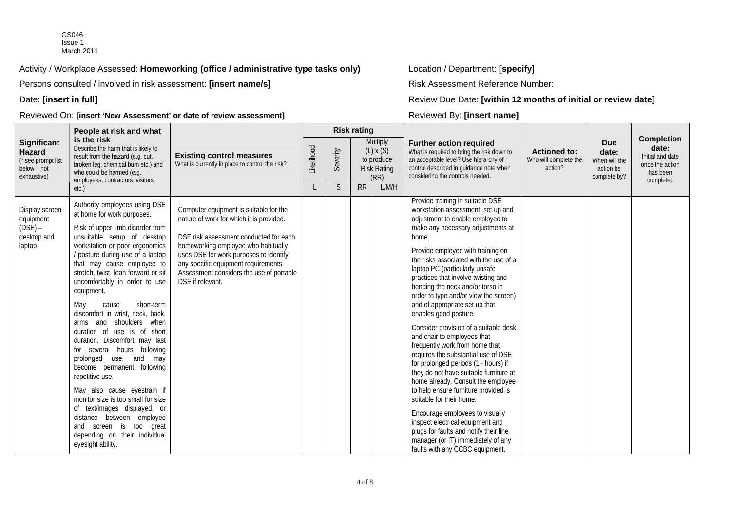GS046 Issue 1 March 2011

Activity / Workplace Assessed: **Homeworking (office / administrative type tasks only)** Location / Department: **[specify]**

Persons consulted / involved in risk assessment: **[insert name/s]** Risk Assessment Reference Number:

Date: [insert in full]

Reviewed On: **[insert 'New Assessment' or date of review assessment]** Reviewed By: **[insert name]**

**[insert in full]** Review Due Date: **[within 12 months of initial or review date]**

|                                                                           | People at risk and what                                                                                                                                                                                                                                                                                                                                                                                                                                                                                                                                                                                                                                                                                                                                                                                               |                                                                                                                                                                                                                                                                                                                       |  | <b>Risk rating</b> |                                                                                                                                                                                                      |                                                                                                                                                                                                                                                                                                                                                                                                                                                                                                                                                                                                                                                                                                                                                                                                                                                                                                                                                                                                |                                                                   |                                                                                            |  |
|---------------------------------------------------------------------------|-----------------------------------------------------------------------------------------------------------------------------------------------------------------------------------------------------------------------------------------------------------------------------------------------------------------------------------------------------------------------------------------------------------------------------------------------------------------------------------------------------------------------------------------------------------------------------------------------------------------------------------------------------------------------------------------------------------------------------------------------------------------------------------------------------------------------|-----------------------------------------------------------------------------------------------------------------------------------------------------------------------------------------------------------------------------------------------------------------------------------------------------------------------|--|--------------------|------------------------------------------------------------------------------------------------------------------------------------------------------------------------------------------------------|------------------------------------------------------------------------------------------------------------------------------------------------------------------------------------------------------------------------------------------------------------------------------------------------------------------------------------------------------------------------------------------------------------------------------------------------------------------------------------------------------------------------------------------------------------------------------------------------------------------------------------------------------------------------------------------------------------------------------------------------------------------------------------------------------------------------------------------------------------------------------------------------------------------------------------------------------------------------------------------------|-------------------------------------------------------------------|--------------------------------------------------------------------------------------------|--|
| Significant<br>Hazard<br>(* see prompt list<br>below - not<br>exhaustive) | is the risk<br>Describe the harm that is likely to<br>result from the hazard (e.g. cut,<br>broken leg, chemical burn etc.) and<br>who could be harmed (e.g.<br>employees, contractors, visitors<br>etc.)                                                                                                                                                                                                                                                                                                                                                                                                                                                                                                                                                                                                              | <b>Multiply</b><br>Likelihood<br>$(L)$ x $(S)$<br>Severity<br><b>Existing control measures</b><br>to produce<br>What is currently in place to control the risk?<br><b>Risk Rating</b><br>(RR)<br><sub>S</sub><br><b>RR</b>                                                                                            |  | L/M/H              | <b>Further action required</b><br>What is required to bring the risk down to<br>an acceptable level? Use hierarchy of<br>control described in guidance note when<br>considering the controls needed. | <b>Actioned to:</b><br>Who will complete the<br>action?                                                                                                                                                                                                                                                                                                                                                                                                                                                                                                                                                                                                                                                                                                                                                                                                                                                                                                                                        | <b>Due</b><br>date:<br>When will the<br>action be<br>complete by? | <b>Completion</b><br>date:<br>Initial and date<br>once the action<br>has been<br>completed |  |
| Display screen<br>equipment<br>(DSE) –<br>desktop and<br>laptop           | Authority employees using DSE<br>at home for work purposes.<br>Risk of upper limb disorder from<br>unsuitable setup of desktop<br>workstation or poor ergonomics<br>/ posture during use of a laptop<br>that may cause employee to<br>stretch, twist, lean forward or sit<br>uncomfortably in order to use<br>equipment.<br>May<br>short-term<br>cause<br>discomfort in wrist, neck, back,<br>arms and shoulders when<br>duration of use is of short<br>duration. Discomfort may last<br>for several hours following<br>use, and may<br>prolonged<br>become permanent following<br>repetitive use.<br>May also cause eyestrain if<br>monitor size is too small for size<br>of text/images displayed, or<br>distance between employee<br>and screen is too great<br>depending on their individual<br>eyesight ability. | Computer equipment is suitable for the<br>nature of work for which it is provided.<br>DSE risk assessment conducted for each<br>homeworking employee who habitually<br>uses DSE for work purposes to identify<br>any specific equipment requirements.<br>Assessment considers the use of portable<br>DSE if relevant. |  |                    |                                                                                                                                                                                                      | Provide training in suitable DSE<br>workstation assessment, set up and<br>adjustment to enable employee to<br>make any necessary adjustments at<br>home.<br>Provide employee with training on<br>the risks associated with the use of a<br>laptop PC (particularly unsafe<br>practices that involve twisting and<br>bending the neck and/or torso in<br>order to type and/or view the screen)<br>and of appropriate set up that<br>enables good posture.<br>Consider provision of a suitable desk<br>and chair to employees that<br>frequently work from home that<br>requires the substantial use of DSE<br>for prolonged periods (1+ hours) if<br>they do not have suitable furniture at<br>home already. Consult the employee<br>to help ensure furniture provided is<br>suitable for their home.<br>Encourage employees to visually<br>inspect electrical equipment and<br>plugs for faults and notify their line<br>manager (or IT) immediately of any<br>faults with any CCBC equipment. |                                                                   |                                                                                            |  |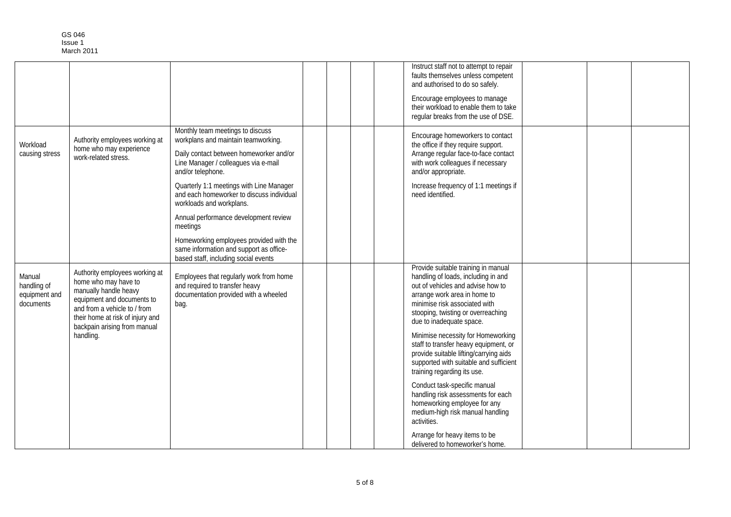|                                                     |                                                                                                                                                                                                                   |                                                                                                                                                                                 |  |  | Instruct staff not to attempt to repair<br>faults themselves unless competent<br>and authorised to do so safely.                                                                                                                                   |  |  |
|-----------------------------------------------------|-------------------------------------------------------------------------------------------------------------------------------------------------------------------------------------------------------------------|---------------------------------------------------------------------------------------------------------------------------------------------------------------------------------|--|--|----------------------------------------------------------------------------------------------------------------------------------------------------------------------------------------------------------------------------------------------------|--|--|
|                                                     |                                                                                                                                                                                                                   |                                                                                                                                                                                 |  |  | Encourage employees to manage<br>their workload to enable them to take<br>regular breaks from the use of DSE.                                                                                                                                      |  |  |
| Workload<br>causing stress                          | Authority employees working at<br>home who may experience<br>work-related stress.                                                                                                                                 | Monthly team meetings to discuss<br>workplans and maintain teamworking.<br>Daily contact between homeworker and/or<br>Line Manager / colleagues via e-mail<br>and/or telephone. |  |  | Encourage homeworkers to contact<br>the office if they require support.<br>Arrange regular face-to-face contact<br>with work colleagues if necessary<br>and/or appropriate.                                                                        |  |  |
|                                                     |                                                                                                                                                                                                                   | Quarterly 1:1 meetings with Line Manager<br>and each homeworker to discuss individual<br>workloads and workplans.                                                               |  |  | Increase frequency of 1:1 meetings if<br>need identified.                                                                                                                                                                                          |  |  |
|                                                     |                                                                                                                                                                                                                   | Annual performance development review<br>meetings                                                                                                                               |  |  |                                                                                                                                                                                                                                                    |  |  |
|                                                     |                                                                                                                                                                                                                   | Homeworking employees provided with the<br>same information and support as office-<br>based staff, including social events                                                      |  |  |                                                                                                                                                                                                                                                    |  |  |
| Manual<br>handling of<br>equipment and<br>documents | Authority employees working at<br>home who may have to<br>manually handle heavy<br>equipment and documents to<br>and from a vehicle to / from<br>their home at risk of injury and<br>backpain arising from manual | Employees that regularly work from home<br>and required to transfer heavy<br>documentation provided with a wheeled<br>bag.                                                      |  |  | Provide suitable training in manual<br>handling of loads, including in and<br>out of vehicles and advise how to<br>arrange work area in home to<br>minimise risk associated with<br>stooping, twisting or overreaching<br>due to inadequate space. |  |  |
|                                                     | handling.                                                                                                                                                                                                         |                                                                                                                                                                                 |  |  | Minimise necessity for Homeworking<br>staff to transfer heavy equipment, or<br>provide suitable lifting/carrying aids<br>supported with suitable and sufficient<br>training regarding its use.                                                     |  |  |
|                                                     |                                                                                                                                                                                                                   |                                                                                                                                                                                 |  |  | Conduct task-specific manual<br>handling risk assessments for each<br>homeworking employee for any<br>medium-high risk manual handling<br>activities.                                                                                              |  |  |
|                                                     |                                                                                                                                                                                                                   |                                                                                                                                                                                 |  |  | Arrange for heavy items to be<br>delivered to homeworker's home.                                                                                                                                                                                   |  |  |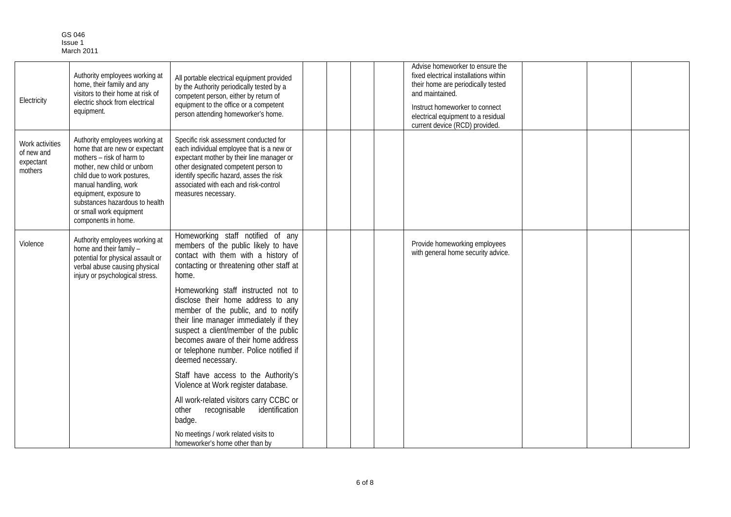| GS 046     |
|------------|
| Issue 1    |
| March 2011 |

| Electricity                                           | Authority employees working at<br>home, their family and any<br>visitors to their home at risk of<br>electric shock from electrical<br>equipment.                                                                                                                                                  | All portable electrical equipment provided<br>by the Authority periodically tested by a<br>competent person, either by return of<br>equipment to the office or a competent<br>person attending homeworker's home.                                                                                                                                                                                                                                                                                                                                                                                                                                                                                                                             |  | Advise homeworker to ensure the<br>fixed electrical installations within<br>their home are periodically tested<br>and maintained.<br>Instruct homeworker to connect<br>electrical equipment to a residual<br>current device (RCD) provided. |  |  |
|-------------------------------------------------------|----------------------------------------------------------------------------------------------------------------------------------------------------------------------------------------------------------------------------------------------------------------------------------------------------|-----------------------------------------------------------------------------------------------------------------------------------------------------------------------------------------------------------------------------------------------------------------------------------------------------------------------------------------------------------------------------------------------------------------------------------------------------------------------------------------------------------------------------------------------------------------------------------------------------------------------------------------------------------------------------------------------------------------------------------------------|--|---------------------------------------------------------------------------------------------------------------------------------------------------------------------------------------------------------------------------------------------|--|--|
| Work activities<br>of new and<br>expectant<br>mothers | Authority employees working at<br>home that are new or expectant<br>mothers - risk of harm to<br>mother, new child or unborn<br>child due to work postures,<br>manual handling, work<br>equipment, exposure to<br>substances hazardous to health<br>or small work equipment<br>components in home. | Specific risk assessment conducted for<br>each individual employee that is a new or<br>expectant mother by their line manager or<br>other designated competent person to<br>identify specific hazard, asses the risk<br>associated with each and risk-control<br>measures necessary.                                                                                                                                                                                                                                                                                                                                                                                                                                                          |  |                                                                                                                                                                                                                                             |  |  |
| Violence                                              | Authority employees working at<br>home and their family -<br>potential for physical assault or<br>verbal abuse causing physical<br>injury or psychological stress.                                                                                                                                 | Homeworking staff notified of any<br>members of the public likely to have<br>contact with them with a history of<br>contacting or threatening other staff at<br>home.<br>Homeworking staff instructed not to<br>disclose their home address to any<br>member of the public, and to notify<br>their line manager immediately if they<br>suspect a client/member of the public<br>becomes aware of their home address<br>or telephone number. Police notified if<br>deemed necessary.<br>Staff have access to the Authority's<br>Violence at Work register database.<br>All work-related visitors carry CCBC or<br>recognisable<br>identification<br>other<br>badge.<br>No meetings / work related visits to<br>homeworker's home other than by |  | Provide homeworking employees<br>with general home security advice.                                                                                                                                                                         |  |  |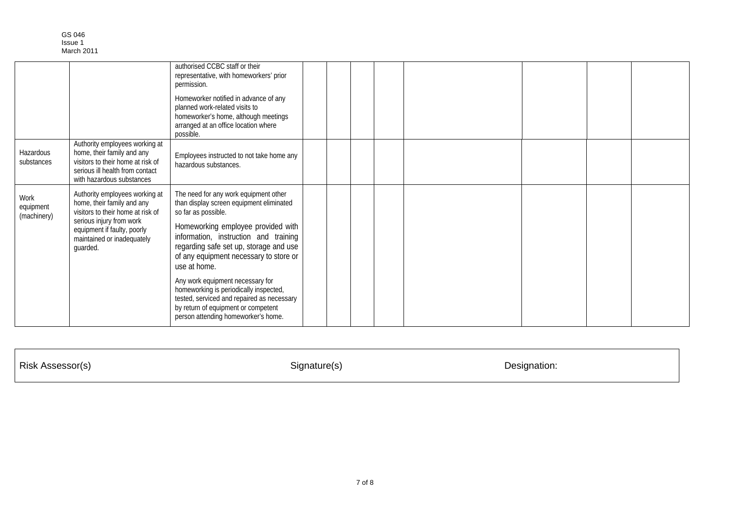|                                  |                                                                                                                                                                                                        | authorised CCBC staff or their<br>representative, with homeworkers' prior<br>permission.<br>Homeworker notified in advance of any<br>planned work-related visits to<br>homeworker's home, although meetings<br>arranged at an office location where<br>possible.                                                                                                                                                                                                                                      |  |  |  |  |  |
|----------------------------------|--------------------------------------------------------------------------------------------------------------------------------------------------------------------------------------------------------|-------------------------------------------------------------------------------------------------------------------------------------------------------------------------------------------------------------------------------------------------------------------------------------------------------------------------------------------------------------------------------------------------------------------------------------------------------------------------------------------------------|--|--|--|--|--|
| Hazardous<br>substances          | Authority employees working at<br>home, their family and any<br>visitors to their home at risk of<br>serious ill health from contact<br>with hazardous substances                                      | Employees instructed to not take home any<br>hazardous substances.                                                                                                                                                                                                                                                                                                                                                                                                                                    |  |  |  |  |  |
| Work<br>equipment<br>(machinery) | Authority employees working at<br>home, their family and any<br>visitors to their home at risk of<br>serious injury from work<br>equipment if faulty, poorly<br>maintained or inadequately<br>guarded. | The need for any work equipment other<br>than display screen equipment eliminated<br>so far as possible.<br>Homeworking employee provided with<br>information, instruction and training<br>regarding safe set up, storage and use<br>of any equipment necessary to store or<br>use at home.<br>Any work equipment necessary for<br>homeworking is periodically inspected,<br>tested, serviced and repaired as necessary<br>by return of equipment or competent<br>person attending homeworker's home. |  |  |  |  |  |

Risk Assessor(s) Signature(s) Designation: